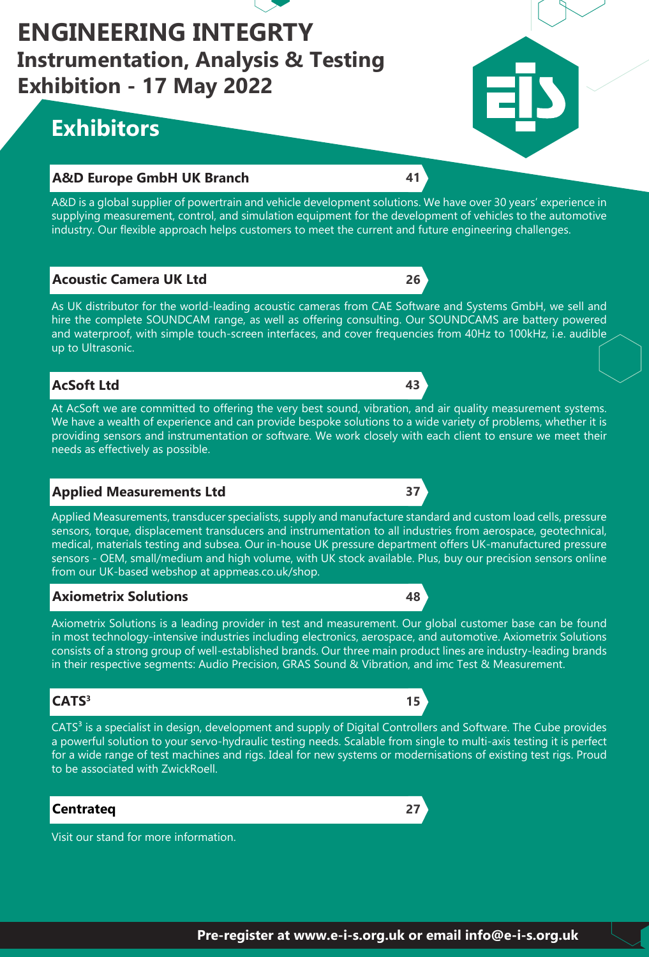

# **ENGINEERING INTEGRTY Instrumentation, Analysis & Testing Exhibition - 17 May 2022**

# **Exhibitors**

# **A&D Europe GmbH UK Branch 41**

A&D is a global supplier of powertrain and vehicle development solutions. We have over 30 years' experience in supplying measurement, control, and simulation equipment for the development of vehicles to the automotive industry. Our flexible approach helps customers to meet the current and future engineering challenges.

# **Acoustic Camera UK Ltd 26**

As UK distributor for the world-leading acoustic cameras from CAE Software and Systems GmbH, we sell and hire the complete SOUNDCAM range, as well as offering consulting. Our SOUNDCAMS are battery powered and waterproof, with simple touch-screen interfaces, and cover frequencies from 40Hz to 100kHz, i.e. audible up to Ultrasonic.

# **AcSoft Ltd 43**

At AcSoft we are committed to offering the very best sound, vibration, and air quality measurement systems. We have a wealth of experience and can provide bespoke solutions to a wide variety of problems, whether it is providing sensors and instrumentation or software. We work closely with each client to ensure we meet their needs as effectively as possible.

# **Applied Measurements Ltd 37**

Applied Measurements, transducer specialists, supply and manufacture standard and custom load cells, pressure sensors, torque, displacement transducers and instrumentation to all industries from aerospace, geotechnical, medical, materials testing and subsea. Our in-house UK pressure department offers UK-manufactured pressure sensors - OEM, small/medium and high volume, with UK stock available. Plus, buy our precision sensors online from our UK-based webshop at appmeas.co.uk/shop.

# **Axiometrix Solutions 48**

Axiometrix Solutions is a leading provider in test and measurement. Our global customer base can be found in most technology-intensive industries including electronics, aerospace, and automotive. Axiometrix Solutions consists of a strong group of well-established brands. Our three main product lines are industry-leading brands in their respective segments: Audio Precision, GRAS Sound & Vibration, and imc Test & Measurement.

# **CATS**<sup>3</sup> **15**

CATS<sup>3</sup> is a specialist in design, development and supply of Digital Controllers and Software. The Cube provides a powerful solution to your servo-hydraulic testing needs. Scalable from single to multi-axis testing it is perfect for a wide range of test machines and rigs. Ideal for new systems or modernisations of existing test rigs. Proud to be associated with ZwickRoell.

# **Centrateq 27**

Visit our stand for more information.



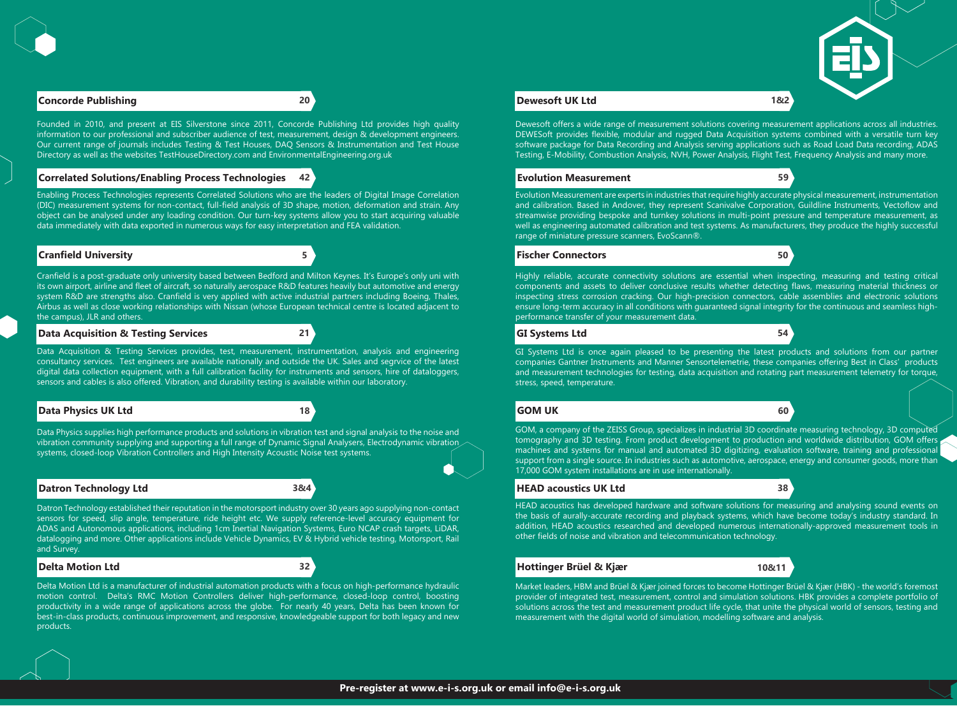### **Correlated Solutions/Enabling Process Technologies 42**

#### **Cranfield University 5**

#### **Data Acquisition & Testing Services 21**

#### **Data Physics UK Ltd 18**

#### **Datron Technology Ltd 3&4**

#### **Delta Motion Ltd 32**

#### **Evolution Measurement 59**

#### **Fischer Connectors 50**

#### **GI Systems Ltd 54**

# **GOM UK 60**

#### **HEAD acoustics UK Ltd 38**

#### **Hottinger Brüel & Kjær 10&11**

#### **Concorde Publishing 20 Dewesoft UK Ltd 1&2**

Founded in 2010, and present at EIS Silverstone since 2011, Concorde Publishing Ltd provides high quality information to our professional and subscriber audience of test, measurement, design & development engineers. Our current range of journals includes Testing & Test Houses, DAQ Sensors & Instrumentation and Test House Directory as well as the websites TestHouseDirectory.com and EnvironmentalEngineering.org.uk

Enabling Process Technologies represents Correlated Solutions who are the leaders of Digital Image Correlation (DIC) measurement systems for non-contact, full-field analysis of 3D shape, motion, deformation and strain. Any object can be analysed under any loading condition. Our turn-key systems allow you to start acquiring valuable data immediately with data exported in numerous ways for easy interpretation and FEA validation.

Cranfield is a post-graduate only university based between Bedford and Milton Keynes. It's Europe's only uni with its own airport, airline and fleet of aircraft, so naturally aerospace R&D features heavily but automotive and energy system R&D are strengths also. Cranfield is very applied with active industrial partners including Boeing, Thales, Airbus as well as close working relationships with Nissan (whose European technical centre is located adjacent to the campus), JLR and others.

Data Acquisition & Testing Services provides, test, measurement, instrumentation, analysis and engineering consultancy services. Test engineers are available nationally and outside the UK. Sales and segrvice of the latest digital data collection equipment, with a full calibration facility for instruments and sensors, hire of dataloggers, sensors and cables is also offered. Vibration, and durability testing is available within our laboratory.

Data Physics supplies high performance products and solutions in vibration test and signal analysis to the noise and vibration community supplying and supporting a full range of Dynamic Signal Analysers, Electrodynamic vibration systems, closed-loop Vibration Controllers and High Intensity Acoustic Noise test systems.

Datron Technology established their reputation in the motorsport industry over 30 years ago supplying non-contact sensors for speed, slip angle, temperature, ride height etc. We supply reference-level accuracy equipment for ADAS and Autonomous applications, including 1cm Inertial Navigation Systems, Euro NCAP crash targets, LiDAR, datalogging and more. Other applications include Vehicle Dynamics, EV & Hybrid vehicle testing, Motorsport, Rail and Survey.

Delta Motion Ltd is a manufacturer of industrial automation products with a focus on high-performance hydraulic motion control. Delta's RMC Motion Controllers deliver high-performance, closed-loop control, boosting productivity in a wide range of applications across the globe. For nearly 40 years, Delta has been known for best-in-class products, continuous improvement, and responsive, knowledgeable support for both legacy and new products.

Dewesoft offers a wide range of measurement solutions covering measurement applications across all industries. DEWESoft provides flexible, modular and rugged Data Acquisition systems combined with a versatile turn key software package for Data Recording and Analysis serving applications such as Road Load Data recording, ADAS Testing, E-Mobility, Combustion Analysis, NVH, Power Analysis, Flight Test, Frequency Analysis and many more.

Evolution Measurement are experts in industries that require highly accurate physical measurement, instrumentation and calibration. Based in Andover, they represent Scanivalve Corporation, Guildline Instruments, Vectoflow and streamwise providing bespoke and turnkey solutions in multi-point pressure and temperature measurement, as well as engineering automated calibration and test systems. As manufacturers, they produce the highly successful range of miniature pressure scanners, EvoScann®.

Highly reliable, accurate connectivity solutions are essential when inspecting, measuring and testing critical components and assets to deliver conclusive results whether detecting flaws, measuring material thickness or inspecting stress corrosion cracking. Our high-precision connectors, cable assemblies and electronic solutions ensure long-term accuracy in all conditions with guaranteed signal integrity for the continuous and seamless highperformance transfer of your measurement data.

GI Systems Ltd is once again pleased to be presenting the latest products and solutions from our partner companies Gantner Instruments and Manner Sensortelemetrie, these companies offering Best in Class' products and measurement technologies for testing, data acquisition and rotating part measurement telemetry for torque, stress, speed, temperature.

GOM, a company of the ZEISS Group, specializes in industrial 3D coordinate measuring technology, 3D computed tomography and 3D testing. From product development to production and worldwide distribution, GOM offers machines and systems for manual and automated 3D digitizing, evaluation software, training and professional support from a single source. In industries such as automotive, aerospace, energy and consumer goods, more than 17,000 GOM system installations are in use internationally.

HEAD acoustics has developed hardware and software solutions for measuring and analysing sound events on the basis of aurally-accurate recording and playback systems, which have become today's industry standard. In addition, HEAD acoustics researched and developed numerous internationally-approved measurement tools in other fields of noise and vibration and telecommunication technology.

Market leaders, HBM and Brüel & Kjær joined forces to become Hottinger Brüel & Kjær (HBK) - the world's foremost provider of integrated test, measurement, control and simulation solutions. HBK provides a complete portfolio of solutions across the test and measurement product life cycle, that unite the physical world of sensors, testing and measurement with the digital world of simulation, modelling software and analysis.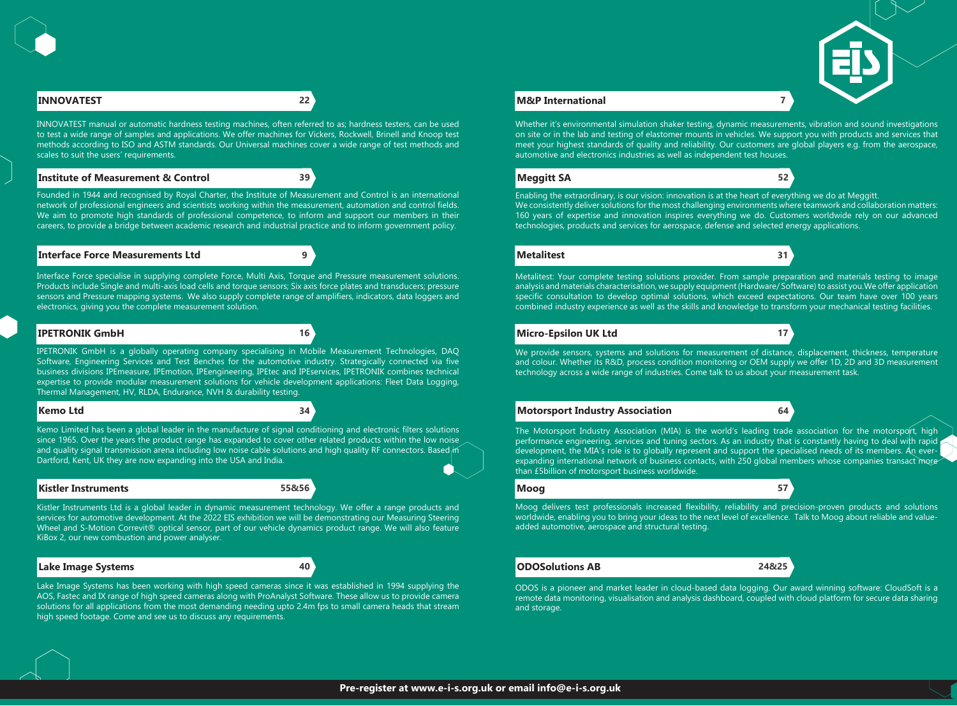#### **Institute of Measurement & Control 39**

#### **Interface Force Measurements Ltd 9**

#### **IPETRONIK GmbH 16**

#### **Kemo Ltd 34**

#### **Kistler Instruments 55&56**

#### **Lake Image Systems 40**



# **Meggitt SA 52**

#### **Metalitest 31**

#### **Micro-Epsilon UK Ltd 17**

#### **Motorsport Industry Association 64**

#### **Moog 57**

#### **ODOSolutions AB 24&25**

# **INNOVATEST 22 M&P International 7**

INNOVATEST manual or automatic hardness testing machines, often referred to as; hardness testers, can be used to test a wide range of samples and applications. We offer machines for Vickers, Rockwell, Brinell and Knoop test methods according to ISO and ASTM standards. Our Universal machines cover a wide range of test methods and scales to suit the users' requirements.

Founded in 1944 and recognised by Royal Charter, the Institute of Measurement and Control is an international network of professional engineers and scientists working within the measurement, automation and control fields. We aim to promote high standards of professional competence, to inform and support our members in their careers, to provide a bridge between academic research and industrial practice and to inform government policy.

Interface Force specialise in supplying complete Force, Multi Axis, Torque and Pressure measurement solutions. Products include Single and multi-axis load cells and torque sensors; Six axis force plates and transducers; pressure sensors and Pressure mapping systems. We also supply complete range of amplifiers, indicators, data loggers and electronics, giving you the complete measurement solution.

IPETRONIK GmbH is a globally operating company specialising in Mobile Measurement Technologies, DAQ Software, Engineering Services and Test Benches for the automotive industry. Strategically connected via five business divisions IPEmeasure, IPEmotion, IPEengineering, IPEtec and IPEservices, IPETRONIK combines technical expertise to provide modular measurement solutions for vehicle development applications: Fleet Data Logging, Thermal Management, HV, RLDA, Endurance, NVH & durability testing.

Kemo Limited has been a global leader in the manufacture of signal conditioning and electronic filters solutions since 1965. Over the years the product range has expanded to cover other related products within the low noise and quality signal transmission arena including low noise cable solutions and high quality RF connectors. Based in Dartford, Kent, UK they are now expanding into the USA and India.

The Motorsport Industry Association (MIA) is the world's leading trade association for the motorsport, high performance engineering, services and tuning sectors. As an industry that is constantly having to deal with rapid development, the MIA's role is to globally represent and support the specialised needs of its members. An everexpanding international network of business contacts, with 250 global members whose companies transact more than £5billion of motorsport business worldwide.

Kistler Instruments Ltd is a global leader in dynamic measurement technology. We offer a range products and services for automotive development. At the 2022 EIS exhibition we will be demonstrating our Measuring Steering Wheel and S-Motion Correvit® optical sensor, part of our vehicle dynamics product range. We will also feature KiBox 2, our new combustion and power analyser.

Lake Image Systems has been working with high speed cameras since it was established in 1994 supplying the AOS, Fastec and IX range of high speed cameras along with ProAnalyst Software. These allow us to provide camera solutions for all applications from the most demanding needing upto 2.4m fps to small camera heads that stream high speed footage. Come and see us to discuss any requirements.

Whether it's environmental simulation shaker testing, dynamic measurements, vibration and sound investigations on site or in the lab and testing of elastomer mounts in vehicles. We support you with products and services that meet your highest standards of quality and reliability. Our customers are global players e.g. from the aerospace, automotive and electronics industries as well as independent test houses.

Enabling the extraordinary, is our vision: innovation is at the heart of everything we do at Meggitt. We consistently deliver solutions for the most challenging environments where teamwork and collaboration matters: 160 years of expertise and innovation inspires everything we do. Customers worldwide rely on our advanced technologies, products and services for aerospace, defense and selected energy applications.

Metalitest: Your complete testing solutions provider. From sample preparation and materials testing to image analysis and materials characterisation, we supply equipment (Hardware/ Software) to assist you.We offer application specific consultation to develop optimal solutions, which exceed expectations. Our team have over 100 years combined industry experience as well as the skills and knowledge to transform your mechanical testing facilities.

We provide sensors, systems and solutions for measurement of distance, displacement, thickness, temperature and colour. Whether its R&D, process condition monitoring or OEM supply we offer 1D, 2D and 3D measurement technology across a wide range of industries. Come talk to us about your measurement task.

Moog delivers test professionals increased flexibility, reliability and precision-proven products and solutions worldwide, enabling you to bring your ideas to the next level of excellence. Talk to Moog about reliable and valueadded automotive, aerospace and structural testing.

ODOS is a pioneer and market leader in cloud-based data logging. Our award winning software: CloudSoft is a remote data monitoring, visualisation and analysis dashboard, coupled with cloud platform for secure data sharing and storage.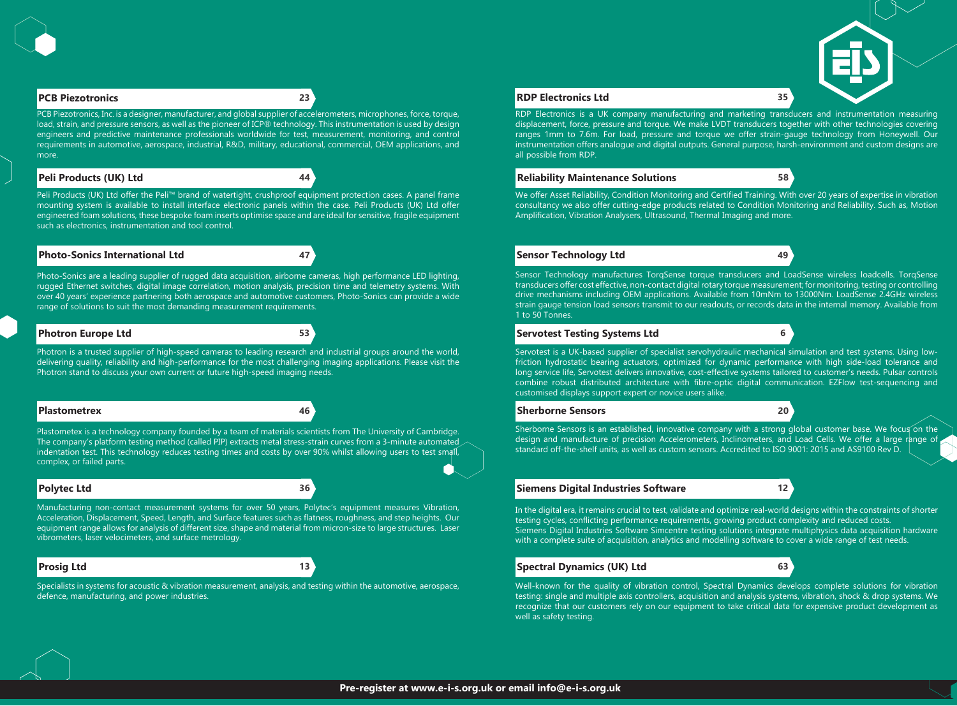# **Peli Products (UK) Ltd 44**



### **Photo-Sonics International Ltd 47**

#### **Photron Europe Ltd 53**

#### **Plastometrex 46**



# **Polytec Ltd 36**

# **Prosig Ltd 13**

### **Reliability Maintenance Solutions 58**

### **Sensor Technology Ltd 49**

#### **Servotest Testing Systems Ltd 6**

#### **Sherborne Sensors 20**

# **Siemens Digital Industries Software 12**

# **Spectral Dynamics (UK) Ltd 63**

PCB Piezotronics, Inc. is a designer, manufacturer, and global supplier of accelerometers, microphones, force, torque, load, strain, and pressure sensors, as well as the pioneer of ICP® technology. This instrumentation is used by design engineers and predictive maintenance professionals worldwide for test, measurement, monitoring, and control requirements in automotive, aerospace, industrial, R&D, military, educational, commercial, OEM applications, and more.

Peli Products (UK) Ltd offer the Peli™ brand of watertight, crushproof equipment protection cases. A panel frame mounting system is available to install interface electronic panels within the case. Peli Products (UK) Ltd offer engineered foam solutions, these bespoke foam inserts optimise space and are ideal for sensitive, fragile equipment such as electronics, instrumentation and tool control.

Photo-Sonics are a leading supplier of rugged data acquisition, airborne cameras, high performance LED lighting, rugged Ethernet switches, digital image correlation, motion analysis, precision time and telemetry systems. With over 40 years' experience partnering both aerospace and automotive customers, Photo-Sonics can provide a wide range of solutions to suit the most demanding measurement requirements.

Photron is a trusted supplier of high-speed cameras to leading research and industrial groups around the world, delivering quality, reliability and high-performance for the most challenging imaging applications. Please visit the Photron stand to discuss your own current or future high-speed imaging needs.

**PCB Piezotronics 23 RDP Electronics Ltd 35** RDP Electronics is a UK company manufacturing and marketing transducers and instrumentation measuring displacement, force, pressure and torque. We make LVDT transducers together with other technologies covering ranges 1mm to 7.6m. For load, pressure and torque we offer strain-gauge technology from Honeywell. Our instrumentation offers analogue and digital outputs. General purpose, harsh-environment and custom designs are all possible from RDP.

Plastometex is a technology company founded by a team of materials scientists from The University of Cambridge. The company's platform testing method (called PIP) extracts metal stress-strain curves from a 3-minute automated indentation test. This technology reduces testing times and costs by over 90% whilst allowing users to test small, complex, or failed parts.

Manufacturing non-contact measurement systems for over 50 years, Polytec's equipment measures Vibration, Acceleration, Displacement, Speed, Length, and Surface features such as flatness, roughness, and step heights. Our equipment range allows for analysis of different size, shape and material from micron-size to large structures. Laser vibrometers, laser velocimeters, and surface metrology.

Specialists in systems for acoustic & vibration measurement, analysis, and testing within the automotive, aerospace, defence, manufacturing, and power industries.

We offer Asset Reliability, Condition Monitoring and Certified Training. With over 20 years of expertise in vibration consultancy we also offer cutting-edge products related to Condition Monitoring and Reliability. Such as, Motion Amplification, Vibration Analysers, Ultrasound, Thermal Imaging and more.

Sensor Technology manufactures TorqSense torque transducers and LoadSense wireless loadcells. TorqSense transducers offer cost effective, non-contact digital rotary torque measurement; for monitoring, testing or controlling drive mechanisms including OEM applications. Available from 10mNm to 13000Nm. LoadSense 2.4GHz wireless strain gauge tension load sensors transmit to our readouts, or records data in the internal memory. Available from 1 to 50 Tonnes.

Servotest is a UK-based supplier of specialist servohydraulic mechanical simulation and test systems. Using lowfriction hydrostatic bearing actuators, optimized for dynamic performance with high side-load tolerance and long service life, Servotest delivers innovative, cost-effective systems tailored to customer's needs. Pulsar controls combine robust distributed architecture with fibre-optic digital communication. EZFlow test-sequencing and customised displays support expert or novice users alike.

Sherborne Sensors is an established, innovative company with a strong global customer base. We focus on the design and manufacture of precision Accelerometers, Inclinometers, and Load Cells. We offer a large range of standard off-the-shelf units, as well as custom sensors. Accredited to ISO 9001: 2015 and AS9100 Rev D.

In the digital era, it remains crucial to test, validate and optimize real-world designs within the constraints of shorter testing cycles, conflicting performance requirements, growing product complexity and reduced costs. Siemens Digital Industries Software Simcentre testing solutions integrate multiphysics data acquisition hardware with a complete suite of acquisition, analytics and modelling software to cover a wide range of test needs.

Well-known for the quality of vibration control, Spectral Dynamics develops complete solutions for vibration testing: single and multiple axis controllers, acquisition and analysis systems, vibration, shock & drop systems. We recognize that our customers rely on our equipment to take critical data for expensive product development as well as safety testing.